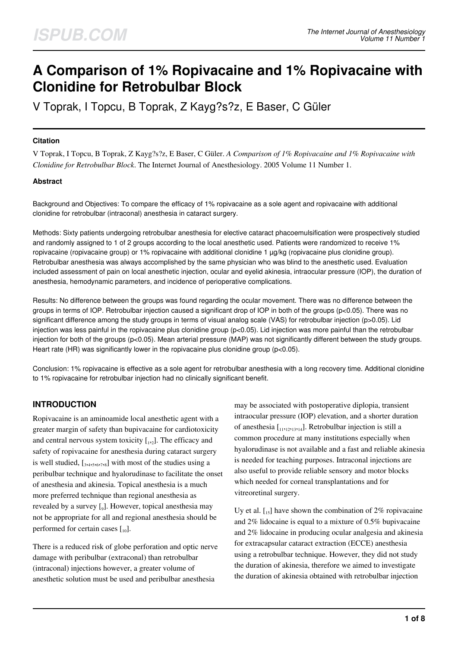# **A Comparison of 1% Ropivacaine and 1% Ropivacaine with Clonidine for Retrobulbar Block**

V Toprak, I Topcu, B Toprak, Z Kayg?s?z, E Baser, C Güler

## **Citation**

V Toprak, I Topcu, B Toprak, Z Kayg?s?z, E Baser, C Güler. *A Comparison of 1% Ropivacaine and 1% Ropivacaine with Clonidine for Retrobulbar Block*. The Internet Journal of Anesthesiology. 2005 Volume 11 Number 1.

# **Abstract**

Background and Objectives: To compare the efficacy of 1% ropivacaine as a sole agent and ropivacaine with additional clonidine for retrobulbar (intraconal) anesthesia in cataract surgery.

Methods: Sixty patients undergoing retrobulbar anesthesia for elective cataract phacoemulsification were prospectively studied and randomly assigned to 1 of 2 groups according to the local anesthetic used. Patients were randomized to receive 1% ropivacaine (ropivacaine group) or 1% ropivacaine with additional clonidine 1 µg/kg (ropivacaine plus clonidine group). Retrobulbar anesthesia was always accomplished by the same physician who was blind to the anesthetic used. Evaluation included assessment of pain on local anesthetic injection, ocular and eyelid akinesia, intraocular pressure (IOP), the duration of anesthesia, hemodynamic parameters, and incidence of perioperative complications.

Results: No difference between the groups was found regarding the ocular movement. There was no difference between the groups in terms of IOP. Retrobulbar injection caused a significant drop of IOP in both of the groups (p<0.05). There was no significant difference among the study groups in terms of visual analog scale (VAS) for retrobulbar injection (p>0.05). Lid injection was less painful in the ropivacaine plus clonidine group ( $p<0.05$ ). Lid injection was more painful than the retrobulbar injection for both of the groups (p<0.05). Mean arterial pressure (MAP) was not significantly different between the study groups. Heart rate (HR) was significantly lower in the ropivacaine plus clonidine group (p<0.05).

Conclusion: 1% ropivacaine is effective as a sole agent for retrobulbar anesthesia with a long recovery time. Additional clonidine to 1% ropivacaine for retrobulbar injection had no clinically significant benefit.

# **INTRODUCTION**

Ropivacaine is an aminoamide local anesthetic agent with a greater margin of safety than bupivacaine for cardiotoxicity and central nervous system toxicity  $[I_{1,2}]$ . The efficacy and safety of ropivacaine for anesthesia during cataract surgery is well studied,  $\left[3, 4, 5, 6, 7, 8\right]$  with most of the studies using a peribulbar technique and hyalorudinase to facilitate the onset of anesthesia and akinesia. Topical anesthesia is a much more preferred technique than regional anesthesia as revealed by a survey [9]. However, topical anesthesia may not be appropriate for all and regional anesthesia should be performed for certain cases  $\begin{bmatrix} 1 & 0 \\ 0 & 1 \end{bmatrix}$ .

There is a reduced risk of globe perforation and optic nerve damage with peribulbar (extraconal) than retrobulbar (intraconal) injections however, a greater volume of anesthetic solution must be used and peribulbar anesthesia

may be associated with postoperative diplopia, transient intraocular pressure (IOP) elevation, and a shorter duration of anesthesia [11,12,13,14]. Retrobulbar injection is still a common procedure at many institutions especially when hyalorudinase is not available and a fast and reliable akinesia is needed for teaching purposes. Intraconal injections are also useful to provide reliable sensory and motor blocks which needed for corneal transplantations and for vitreoretinal surgery.

Uy et al.  $\begin{bmatrix} 1, 1 \end{bmatrix}$  have shown the combination of 2% ropivacaine and 2% lidocaine is equal to a mixture of 0.5% bupivacaine and 2% lidocaine in producing ocular analgesia and akinesia for extracapsular cataract extraction (ECCE) anesthesia using a retrobulbar technique. However, they did not study the duration of akinesia, therefore we aimed to investigate the duration of akinesia obtained with retrobulbar injection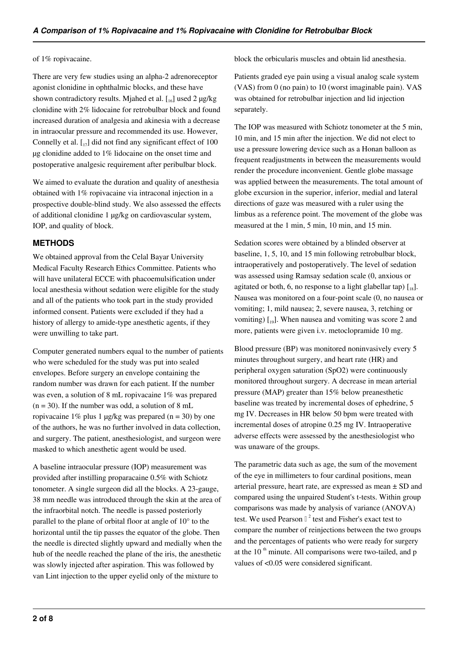### of 1% ropivacaine.

There are very few studies using an alpha-2 adrenoreceptor agonist clonidine in ophthalmic blocks, and these have shown contradictory results. Mjahed et al.  $\lceil \frac{16}{2} \rceil$  used 2  $\mu$ g/kg clonidine with 2% lidocaine for retrobulbar block and found increased duration of analgesia and akinesia with a decrease in intraocular pressure and recommended its use. However, Connelly et al.  $\begin{bmatrix} 1 \\ 1 \end{bmatrix}$  did not find any significant effect of 100 µg clonidine added to 1% lidocaine on the onset time and postoperative analgesic requirement after peribulbar block.

We aimed to evaluate the duration and quality of anesthesia obtained with 1% ropivacaine via intraconal injection in a prospective double-blind study. We also assessed the effects of additional clonidine 1 µg/kg on cardiovascular system, IOP, and quality of block.

# **METHODS**

We obtained approval from the Celal Bayar University Medical Faculty Research Ethics Committee. Patients who will have unilateral ECCE with phacoemulsification under local anesthesia without sedation were eligible for the study and all of the patients who took part in the study provided informed consent. Patients were excluded if they had a history of allergy to amide-type anesthetic agents, if they were unwilling to take part.

Computer generated numbers equal to the number of patients who were scheduled for the study was put into sealed envelopes. Before surgery an envelope containing the random number was drawn for each patient. If the number was even, a solution of 8 mL ropivacaine 1% was prepared  $(n = 30)$ . If the number was odd, a solution of 8 mL ropivacaine 1% plus 1  $\mu$ g/kg was prepared (n = 30) by one of the authors, he was no further involved in data collection, and surgery. The patient, anesthesiologist, and surgeon were masked to which anesthetic agent would be used.

A baseline intraocular pressure (IOP) measurement was provided after instilling proparacaine 0.5% with Schiotz tonometer. A single surgeon did all the blocks. A 23-gauge, 38 mm needle was introduced through the skin at the area of the infraorbital notch. The needle is passed posteriorly parallel to the plane of orbital floor at angle of 10° to the horizontal until the tip passes the equator of the globe. Then the needle is directed slightly upward and medially when the hub of the needle reached the plane of the iris, the anesthetic was slowly injected after aspiration. This was followed by van Lint injection to the upper eyelid only of the mixture to

block the orbicularis muscles and obtain lid anesthesia.

Patients graded eye pain using a visual analog scale system (VAS) from 0 (no pain) to 10 (worst imaginable pain). VAS was obtained for retrobulbar injection and lid injection separately.

The IOP was measured with Schiotz tonometer at the 5 min, 10 min, and 15 min after the injection. We did not elect to use a pressure lowering device such as a Honan balloon as frequent readjustments in between the measurements would render the procedure inconvenient. Gentle globe massage was applied between the measurements. The total amount of globe excursion in the superior, inferior, medial and lateral directions of gaze was measured with a ruler using the limbus as a reference point. The movement of the globe was measured at the 1 min, 5 min, 10 min, and 15 min.

Sedation scores were obtained by a blinded observer at baseline, 1, 5, 10, and 15 min following retrobulbar block, intraoperatively and postoperatively. The level of sedation was assessed using Ramsay sedation scale (0, anxious or agitated or both, 6, no response to a light glabellar tap)  $\lceil \frac{1}{18} \rceil$ . Nausea was monitored on a four-point scale (0, no nausea or vomiting; 1, mild nausea; 2, severe nausea, 3, retching or vomiting)  $\begin{bmatrix} 1 & 0 \\ 0 & 1 \end{bmatrix}$ . When nausea and vomiting was score 2 and more, patients were given i.v. metoclopramide 10 mg.

Blood pressure (BP) was monitored noninvasively every 5 minutes throughout surgery, and heart rate (HR) and peripheral oxygen saturation (SpO2) were continuously monitored throughout surgery. A decrease in mean arterial pressure (MAP) greater than 15% below preanesthetic baseline was treated by incremental doses of ephedrine, 5 mg IV. Decreases in HR below 50 bpm were treated with incremental doses of atropine 0.25 mg IV. Intraoperative adverse effects were assessed by the anesthesiologist who was unaware of the groups.

The parametric data such as age, the sum of the movement of the eye in millimeters to four cardinal positions, mean arterial pressure, heart rate, are expressed as mean ± SD and compared using the unpaired Student's t-tests. Within group comparisons was made by analysis of variance (ANOVA) test. We used Pearson  $\mathbb{I}^2$  test and Fisher's exact test to compare the number of reinjections between the two groups and the percentages of patients who were ready for surgery at the  $10<sup>th</sup>$  minute. All comparisons were two-tailed, and p values of <0.05 were considered significant.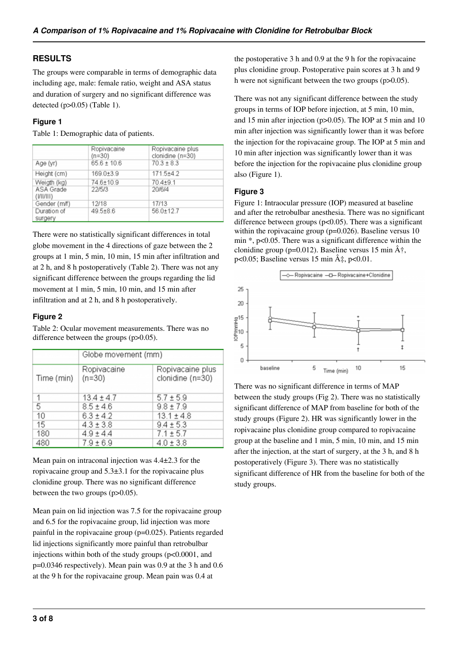# **RESULTS**

The groups were comparable in terms of demographic data including age, male: female ratio, weight and ASA status and duration of surgery and no significant difference was detected (p>0.05) (Table 1).

## **Figure 1**

Table 1: Demographic data of patients.

|                        | Ropivacaine<br>$(n=30)$<br>$65.6 \pm 10.6$ | Ropivacaine plus<br>clonidine (n=30)<br>$70.3 \pm 8.3$ |
|------------------------|--------------------------------------------|--------------------------------------------------------|
| Age (yr)               |                                            |                                                        |
| Height (cm)            | $169.0 + 3.9$                              | $171.5+4.2$                                            |
| Weigth (kg)            | 74.6±10.9                                  | $70.4 + 9.1$                                           |
| ASA Grade<br>(V  /   ) | 22/5/3                                     | 20/6/4                                                 |
| Gender (m/f)           | 12/18                                      | 17/13                                                  |
| Duration of<br>surgery | $49.5 + 8.6$                               | 56.0±12.7                                              |

There were no statistically significant differences in total globe movement in the 4 directions of gaze between the 2 groups at 1 min, 5 min, 10 min, 15 min after infiltration and at 2 h, and 8 h postoperatively (Table 2). There was not any significant difference between the groups regarding the lid movement at 1 min, 5 min, 10 min, and 15 min after infiltration and at 2 h, and 8 h postoperatively.

# **Figure 2**

Table 2: Ocular movement measurements. There was no difference between the groups (p>0.05).

|            | Globe movement (mm)     |                                      |
|------------|-------------------------|--------------------------------------|
| Time (min) | Ropivacaine<br>$(n=30)$ | Ropivacaine plus<br>clonidine (n=30) |
| 1          | $13.4 \pm 4.7$          | $5.7 \pm 5.9$                        |
| 5          | $8.5 \pm 4.6$           | $9.8 \pm 7.9$                        |
| 10         | $6.3 \pm 4.2$           | $13.1 \pm 4.8$                       |
| 15         | $4.3 \pm 3.8$           | $9.4 \pm 5.3$                        |
| 180        | $4.9 \pm 4.4$           | $7.1 \pm 5.7$                        |
| 480        | $7.9 \pm 6.9$           | $4.0 \pm 3.8$                        |

Mean pain on intraconal injection was 4.4±2.3 for the ropivacaine group and 5.3±3.1 for the ropivacaine plus clonidine group. There was no significant difference between the two groups (p>0.05).

Mean pain on lid injection was 7.5 for the ropivacaine group and 6.5 for the ropivacaine group, lid injection was more painful in the ropivacaine group (p=0.025). Patients regarded lid injections significantly more painful than retrobulbar injections within both of the study groups (p<0.0001, and p=0.0346 respectively). Mean pain was 0.9 at the 3 h and 0.6 at the 9 h for the ropivacaine group. Mean pain was 0.4 at

the postoperative 3 h and 0.9 at the 9 h for the ropivacaine plus clonidine group. Postoperative pain scores at 3 h and 9 h were not significant between the two groups (p $>0.05$ ).

There was not any significant difference between the study groups in terms of IOP before injection, at 5 min, 10 min, and 15 min after injection (p>0.05). The IOP at 5 min and 10 min after injection was significantly lower than it was before the injection for the ropivacaine group. The IOP at 5 min and 10 min after injection was significantly lower than it was before the injection for the ropivacaine plus clonidine group also (Figure 1).

# **Figure 3**

Figure 1: Intraocular pressure (IOP) measured at baseline and after the retrobulbar anesthesia. There was no significant difference between groups (p<0.05). There was a significant within the ropivacaine group (p=0.026). Baseline versus 10 min \*, p<0.05. There was a significant difference within the clonidine group (p=0.012). Baseline versus 15 min  $\hat{A}^{\dagger}$ , p<0.05; Baseline versus 15 min  $\hat{A}$ ‡, p<0.01.



There was no significant difference in terms of MAP between the study groups (Fig 2). There was no statistically significant difference of MAP from baseline for both of the study groups (Figure 2). HR was significantly lower in the ropivacaine plus clonidine group compared to ropivacaine group at the baseline and 1 min, 5 min, 10 min, and 15 min after the injection, at the start of surgery, at the 3 h, and 8 h postoperatively (Figure 3). There was no statistically significant difference of HR from the baseline for both of the study groups.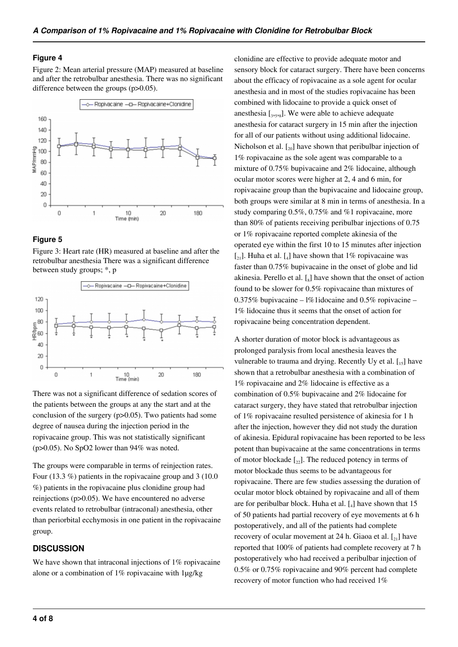#### **Figure 4**

Figure 2: Mean arterial pressure (MAP) measured at baseline and after the retrobulbar anesthesia. There was no significant difference between the groups (p>0.05).



#### **Figure 5**

Figure 3: Heart rate (HR) measured at baseline and after the retrobulbar anesthesia There was a significant difference between study groups; \*, p



There was not a significant difference of sedation scores of the patients between the groups at any the start and at the conclusion of the surgery (p>0.05). Two patients had some degree of nausea during the injection period in the ropivacaine group. This was not statistically significant (p>0.05). No SpO2 lower than 94% was noted.

The groups were comparable in terms of reinjection rates. Four (13.3 %) patients in the ropivacaine group and 3 (10.0 %) patients in the ropivacaine plus clonidine group had reinjections (p>0.05). We have encountered no adverse events related to retrobulbar (intraconal) anesthesia, other than periorbital ecchymosis in one patient in the ropivacaine group.

## **DISCUSSION**

We have shown that intraconal injections of 1% ropivacaine alone or a combination of  $1\%$  ropivacaine with  $1\mu$ g/kg

clonidine are effective to provide adequate motor and sensory block for cataract surgery. There have been concerns about the efficacy of ropivacaine as a sole agent for ocular anesthesia and in most of the studies ropivacaine has been combined with lidocaine to provide a quick onset of anesthesia  $\left[3, 5, 8\right]$ . We were able to achieve adequate anesthesia for cataract surgery in 15 min after the injection for all of our patients without using additional lidocaine. Nicholson et al.  $\left[\gamma_0\right]$  have shown that peribulbar injection of 1% ropivacaine as the sole agent was comparable to a mixture of 0.75% bupivacaine and 2% lidocaine, although ocular motor scores were higher at 2, 4 and 6 min, for ropivacaine group than the bupivacaine and lidocaine group, both groups were similar at 8 min in terms of anesthesia. In a study comparing 0.5%, 0.75% and %1 ropivacaine, more than 80% of patients receiving peribulbar injections of 0.75 or 1% ropivacaine reported complete akinesia of the operated eye within the first 10 to 15 minutes after injection  $\begin{bmatrix} 2 \\ 2 \end{bmatrix}$ . Huha et al.  $\begin{bmatrix} 4 \\ 4 \end{bmatrix}$  have shown that 1% ropivacaine was faster than 0.75% bupivacaine in the onset of globe and lid akinesia. Perello et al.  $\left[\right]_8$  have shown that the onset of action found to be slower for 0.5% ropivacaine than mixtures of 0.375% bupivacaine – l%1idocaine and 0.5% ropivacine – 1% lidocaine thus it seems that the onset of action for ropivacaine being concentration dependent.

A shorter duration of motor block is advantageous as prolonged paralysis from local anesthesia leaves the vulnerable to trauma and drying. Recently Uy et al.  $\begin{bmatrix} 15 \end{bmatrix}$  have shown that a retrobulbar anesthesia with a combination of 1% ropivacaine and 2% lidocaine is effective as a combination of 0.5% bupivacaine and 2% lidocaine for cataract surgery, they have stated that retrobulbar injection of 1% ropivacaine resulted persistence of akinesia for 1 h after the injection, however they did not study the duration of akinesia. Epidural ropivacaine has been reported to be less potent than bupivacaine at the same concentrations in terms of motor blockade  $\lceil z_2 \rceil$ . The reduced potency in terms of motor blockade thus seems to be advantageous for ropivacaine. There are few studies assessing the duration of ocular motor block obtained by ropivacaine and all of them are for peribulbar block. Huha et al.  $\left[ \begin{smallmatrix} 1 \end{smallmatrix} \right]$  have shown that 15 of 50 patients had partial recovery of eye movements at 6 h postoperatively, and all of the patients had complete recovery of ocular movement at 24 h. Giaoa et al.  $\mathfrak{c}_{21}$  have reported that 100% of patients had complete recovery at 7 h postoperatively who had received a peribulbar injection of 0.5% or 0.75% ropivacaine and 90% percent had complete recovery of motor function who had received 1%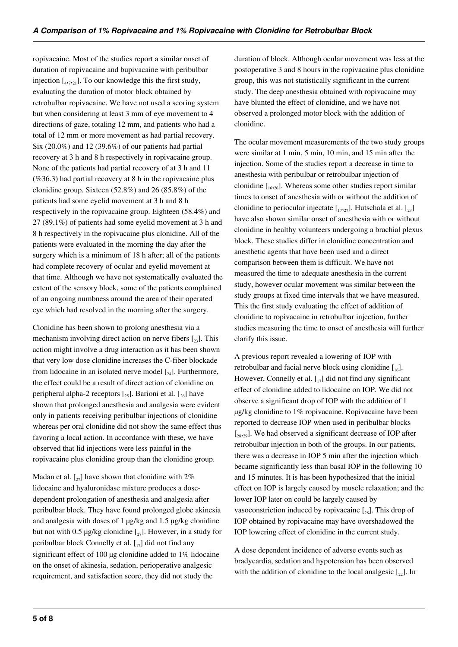ropivacaine. Most of the studies report a similar onset of duration of ropivacaine and bupivacaine with peribulbar injection  $\left[1, \frac{1}{2}, 1\right]$ . To our knowledge this the first study, evaluating the duration of motor block obtained by retrobulbar ropivacaine. We have not used a scoring system but when considering at least 3 mm of eye movement to 4 directions of gaze, totaling 12 mm, and patients who had a total of 12 mm or more movement as had partial recovery. Six (20.0%) and 12 (39.6%) of our patients had partial recovery at 3 h and 8 h respectively in ropivacaine group. None of the patients had partial recovery of at 3 h and 11  $(\%36.3)$  had partial recovery at 8 h in the ropivacaine plus clonidine group. Sixteen (52.8%) and 26 (85.8%) of the patients had some eyelid movement at 3 h and 8 h respectively in the ropivacaine group. Eighteen (58.4%) and 27 (89.1%) of patients had some eyelid movement at 3 h and 8 h respectively in the ropivacaine plus clonidine. All of the patients were evaluated in the morning the day after the surgery which is a minimum of 18 h after; all of the patients had complete recovery of ocular and eyelid movement at that time. Although we have not systematically evaluated the extent of the sensory block, some of the patients complained of an ongoing numbness around the area of their operated eye which had resolved in the morning after the surgery.

Clonidine has been shown to prolong anesthesia via a mechanism involving direct action on nerve fibers  $\mathfrak{g}_{23}$ . This action might involve a drug interaction as it has been shown that very low dose clonidine increases the C-fiber blockade from lidocaine in an isolated nerve model  $\left[\begin{smallmatrix} 2 & 0 \\ 2 & 4 \end{smallmatrix}\right]$ . Furthermore, the effect could be a result of direct action of clonidine on peripheral alpha-2 receptors  $\left[\right]$ . Barioni et al.  $\left[\right]$  have shown that prolonged anesthesia and analgesia were evident only in patients receiving peribulbar injections of clonidine whereas per oral clonidine did not show the same effect thus favoring a local action. In accordance with these, we have observed that lid injections were less painful in the ropivacaine plus clonidine group than the clonidine group.

Madan et al.  $\lceil z_7 \rceil$  have shown that clonidine with 2% lidocaine and hyaluronidase mixture produces a dosedependent prolongation of anesthesia and analgesia after peribulbar block. They have found prolonged globe akinesia and analgesia with doses of 1 µg/kg and 1.5 µg/kg clonidine but not with 0.5  $\mu$ g/kg clonidine  $\left[\begin{smallmatrix} 2 \\ 27 \end{smallmatrix}\right]$ . However, in a study for peribulbar block Connelly et al.  $\left[\begin{smallmatrix}1\\1\end{smallmatrix}\right]$  did not find any significant effect of 100 µg clonidine added to 1% lidocaine on the onset of akinesia, sedation, perioperative analgesic requirement, and satisfaction score, they did not study the

duration of block. Although ocular movement was less at the postoperative 3 and 8 hours in the ropivacaine plus clonidine group, this was not statistically significant in the current study. The deep anesthesia obtained with ropivacaine may have blunted the effect of clonidine, and we have not observed a prolonged motor block with the addition of clonidine.

The ocular movement measurements of the two study groups were similar at 1 min, 5 min, 10 min, and 15 min after the injection. Some of the studies report a decrease in time to anesthesia with peribulbar or retrobulbar injection of clonidine  $\left[16, 26\right]$ . Whereas some other studies report similar times to onset of anesthesia with or without the addition of clonidine to periocular injectate  $\begin{bmatrix} 17,27 \end{bmatrix}$ . Hutschala et al.  $\begin{bmatrix} 23 \end{bmatrix}$ have also shown similar onset of anesthesia with or without clonidine in healthy volunteers undergoing a brachial plexus block. These studies differ in clonidine concentration and anesthetic agents that have been used and a direct comparison between them is difficult. We have not measured the time to adequate anesthesia in the current study, however ocular movement was similar between the study groups at fixed time intervals that we have measured. This the first study evaluating the effect of addition of clonidine to ropivacaine in retrobulbar injection, further studies measuring the time to onset of anesthesia will further clarify this issue.

A previous report revealed a lowering of IOP with retrobulbar and facial nerve block using clonidine  $[16]$ . However, Connelly et al.  $\begin{bmatrix} 1 \\ 1 \end{bmatrix}$  did not find any significant effect of clonidine added to lidocaine on IOP. We did not observe a significant drop of IOP with the addition of 1 µg/kg clonidine to 1% ropivacaine. Ropivacaine have been reported to decrease IOP when used in peribulbar blocks  $[28,29]$ . We had observed a significant decrease of IOP after retrobulbar injection in both of the groups. In our patients, there was a decrease in IOP 5 min after the injection which became significantly less than basal IOP in the following 10 and 15 minutes. It is has been hypothesized that the initial effect on IOP is largely caused by muscle relaxation; and the lower IOP later on could be largely caused by vasoconstriction induced by ropivacaine  $\lceil_{28}\rceil$ . This drop of IOP obtained by ropivacaine may have overshadowed the IOP lowering effect of clonidine in the current study.

A dose dependent incidence of adverse events such as bradycardia, sedation and hypotension has been observed with the addition of clonidine to the local analgesic  $[\gamma_2]$ . In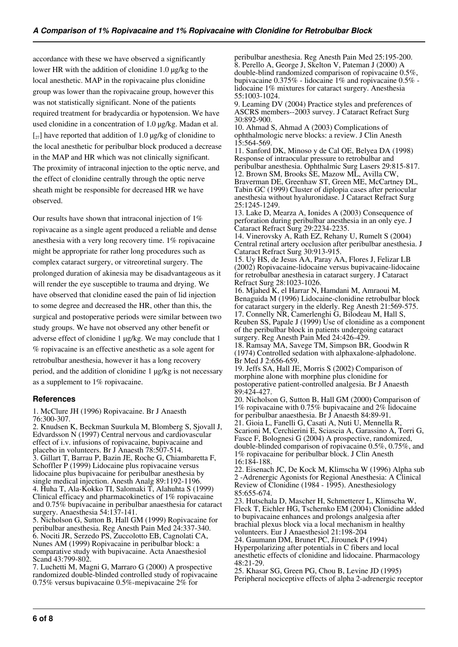accordance with these we have observed a significantly lower HR with the addition of clonidine 1.0 µg/kg to the local anesthetic. MAP in the ropivacaine plus clonidine group was lower than the ropivacaine group, however this was not statistically significant. None of the patients required treatment for bradycardia or hypotension. We have used clonidine in a concentration of 1.0 µg/kg. Madan et al.  $\lceil z_7 \rceil$  have reported that addition of 1.0 µg/kg of clonidine to the local anesthetic for peribulbar block produced a decrease in the MAP and HR which was not clinically significant. The proximity of intraconal injection to the optic nerve, and the effect of clonidine centrally through the optic nerve sheath might be responsible for decreased HR we have observed.

Our results have shown that intraconal injection of 1% ropivacaine as a single agent produced a reliable and dense anesthesia with a very long recovery time. 1% ropivacaine might be appropriate for rather long procedures such as complex cataract surgery, or vitreoretinal surgery. The prolonged duration of akinesia may be disadvantageous as it will render the eye susceptible to trauma and drying. We have observed that clonidine eased the pain of lid injection to some degree and decreased the HR, other than this, the surgical and postoperative periods were similar between two study groups. We have not observed any other benefit or adverse effect of clonidine 1 µg/kg. We may conclude that 1 % ropivacaine is an effective anesthetic as a sole agent for retrobulbar anesthesia, however it has a long recovery period, and the addition of clonidine 1 µg/kg is not necessary as a supplement to 1% ropivacaine.

## **References**

1. McClure JH (1996) Ropivacaine. Br J Anaesth 76:300-307.

2. Knudsen K, Beckman Suurkula M, Blomberg S, Sjovall J, Edvardsson N (1997) Central nervous and cardiovascular effect of i.v. infusions of ropivacaine, bupivacaine and placebo in volunteers. Br J Anaesth 78:507-514. 3. Gillart T, Barrau P, Bazin JE, Roche G, Chiambaretta F, Schoffler P (1999) Lidocaine plus ropivacaine versus lidocaine plus bupivacaine for peribulbar anesthesia by single medical injection. Anesth Analg 89:1192-1196. 4. Huha T, Ala-Kokko TI, Salomaki T, Alahuhta S (1999) Clinical efficacy and pharmacokinetics of 1% ropivacaine and 0.75% bupivacaine in peribulbar anaesthesia for cataract surgery. Anaesthesia 54:137-141. 5. Nicholson G, Sutton B, Hall GM (1999) Ropivacaine for

peribulbar anesthesia. Reg Anesth Pain Med 24:337-340. 6. Nociti JR, Serzedo PS, Zuccolotto EB, Cagnolati CA, Nunes AM (1999) Ropivacaine in peribulbar block: a comparative study with bupivacaine. Acta Anaesthesiol Scand 43:799-802.

7. Luchetti M, Magni G, Marraro G (2000) A prospective randomized double-blinded controlled study of ropivacaine 0.75% versus bupivacaine 0.5%-mepivacaine 2% for

peribulbar anesthesia. Reg Anesth Pain Med 25:195-200. 8. Perello A, George J, Skelton V, Pateman J (2000) A double-blind randomized comparison of ropivacaine 0.5%, bupivacaine 0.375% - lidocaine 1% and ropivacaine 0.5% lidocaine 1% mixtures for cataract surgery. Anesthesia 55:1003-1024.

9. Leaming DV (2004) Practice styles and preferences of ASCRS members--2003 survey. J Cataract Refract Surg 30:892-900.

10. Ahmad S, Ahmad A (2003) Complications of ophthalmologic nerve blocks: a review. J Clin Anesth 15:564-569.

11. Sanford DK, Minoso y de Cal OE, Belyea DA (1998) Response of intraocular pressure to retrobulbar and peribulbar anesthesia. Ophthalmic Surg Lasers 29:815-817. 12. Brown SM, Brooks SE, Mazow ML, Avilla CW, Braverman DE, Greenhaw ST, Green ME, McCartney DL, Tabin GC (1999) Cluster of diplopia cases after periocular anesthesia without hyaluronidase. J Cataract Refract Surg 25:1245-1249.

13. Lake D, Mearza A, Ionides A (2003) Consequence of perforation during peribulbar anesthesia in an only eye. J Cataract Refract Surg 29:2234-2235.

14. Vinerovsky A, Rath EZ, Rehany U, Rumelt S (2004) Central retinal artery occlusion after peribulbar anesthesia. J Cataract Refract Surg 30:913-915.

15. Uy HS, de Jesus AA, Paray AA, Flores J, Felizar LB (2002) Ropivacaine-lidocaine versus bupivacaine-lidocaine for retrobulbar anesthesia in cataract surgery. J Cataract Refract Surg 28:1023-1026.

16. Mjahed K, el Harrar N, Hamdani M, Amraoui M, Benaguida M (1996) Lidocaine-clonidine retrobulbar block for cataract surgery in the elderly. Reg Anesth 21:569-575. 17. Connelly NR, Camerlenghi G, Bilodeau M, Hall S, Reuben SS, Papale J (1999) Use of clonidine as a component of the peribulbar block in patients undergoing cataract surgery. Reg Anesth Pain Med 24:426-429.

18. Ramsay MA, Savege TM, Simpson BR, Goodwin R (1974) Controlled sedation with alphaxalone-alphadolone. Br Med J 2:656-659.

19. Jeffs SA, Hall JE, Morris S (2002) Comparison of morphine alone with morphine plus clonidine for postoperative patient-controlled analgesia. Br J Anaesth 89:424-427.

20. Nicholson G, Sutton B, Hall GM (2000) Comparison of 1% ropivacaine with 0.75% bupivacaine and 2% lidocaine for peribulbar anaesthesia. Br J Anaesth 84:89-91.

21. Gioia L, Fanelli G, Casati A, Nuti U, Mennella R, Scarioni M, Cerchierini E, Sciascia A, Garassino A, Torri G, Fasce F, Bolognesi G (2004) A prospective, randomized, double-blinded comparison of ropivacaine 0.5%, 0.75%, and 1% ropivacaine for peribulbar block. J Clin Anesth 16:184-188.

22. Eisenach JC, De Kock M, Klimscha W (1996) Alpha sub 2 -Adrenergic Agonists for Regional Anesthesia: A Clinical Review of Clonidine (1984 - 1995). Anesthesiology 85:655-674.

23. Hutschala D, Mascher H, Schmetterer L, Klimscha W, Fleck T, Eichler HG, Tschernko EM (2004) Clonidine added to bupivacaine enhances and prolongs analgesia after brachial plexus block via a local mechanism in healthy volunteers. Eur J Anaesthesiol 21:198-204

24. Gaumann DM, Brunet PC, Jirounek P (1994) Hyperpolarizing after potentials in C fibers and local anesthetic effects of clonidine and lidocaine. Pharmacology 48:21-29.

25. Khasar SG, Green PG, Chou B, Levine JD (1995) Peripheral nociceptive effects of alpha 2-adrenergic receptor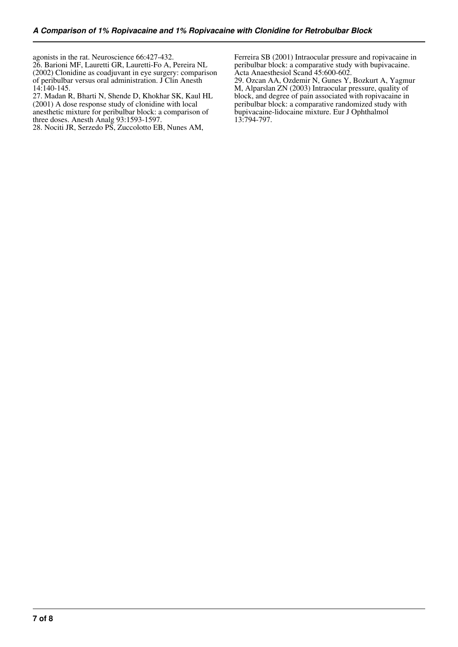agonists in the rat. Neuroscience 66:427-432. 26. Barioni MF, Lauretti GR, Lauretti-Fo A, Pereira NL (2002) Clonidine as coadjuvant in eye surgery: comparison of peribulbar versus oral administration. J Clin Anesth 14:140-145.

27. Madan R, Bharti N, Shende D, Khokhar SK, Kaul HL (2001) A dose response study of clonidine with local anesthetic mixture for peribulbar block: a comparison of three doses. Anesth Analg 93:1593-1597.

28. Nociti JR, Serzedo PS, Zuccolotto EB, Nunes AM,

Ferreira SB (2001) Intraocular pressure and ropivacaine in peribulbar block: a comparative study with bupivacaine. Acta Anaesthesiol Scand 45:600-602.

29. Ozcan AA, Ozdemir N, Gunes Y, Bozkurt A, Yagmur M, Alparslan ZN (2003) Intraocular pressure, quality of block, and degree of pain associated with ropivacaine in peribulbar block: a comparative randomized study with bupivacaine-lidocaine mixture. Eur J Ophthalmol 13:794-797.